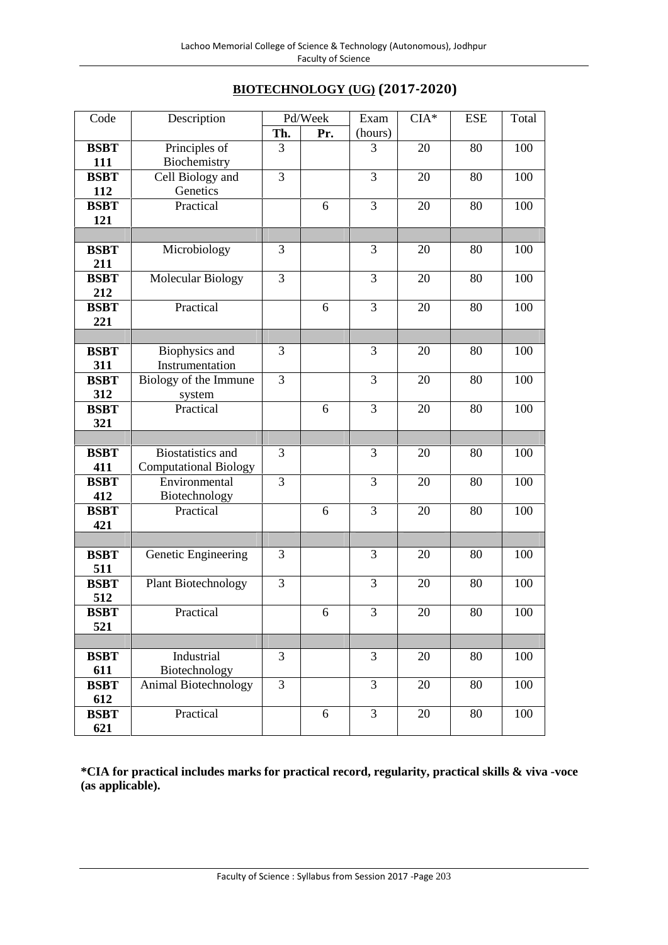| <b>BIOTECHNOLOGY (UG) (2017-2020)</b> |  |
|---------------------------------------|--|
|---------------------------------------|--|

| Code        | Description                  |     | Pd/Week | Exam    | $CIA*$ | <b>ESE</b> | Total |
|-------------|------------------------------|-----|---------|---------|--------|------------|-------|
|             |                              | Th. | Pr.     | (hours) |        |            |       |
| <b>BSBT</b> | Principles of                | 3   |         | 3       | 20     | 80         | 100   |
| 111         | Biochemistry                 |     |         |         |        |            |       |
| <b>BSBT</b> | Cell Biology and             | 3   |         | 3       | 20     | 80         | 100   |
| 112         | Genetics                     |     |         |         |        |            |       |
| <b>BSBT</b> | Practical                    |     | 6       | 3       | 20     | 80         | 100   |
| 121         |                              |     |         |         |        |            |       |
|             |                              |     |         |         |        |            |       |
| <b>BSBT</b> | Microbiology                 | 3   |         | 3       | 20     | 80         | 100   |
| 211         |                              |     |         |         |        |            |       |
| <b>BSBT</b> | <b>Molecular Biology</b>     | 3   |         | 3       | 20     | 80         | 100   |
| 212         |                              |     |         |         |        |            |       |
| <b>BSBT</b> | Practical                    |     | 6       | 3       | 20     | 80         | 100   |
| 221         |                              |     |         |         |        |            |       |
|             |                              |     |         |         |        |            |       |
| <b>BSBT</b> | Biophysics and               | 3   |         | 3       | 20     | 80         | 100   |
| 311         | Instrumentation              |     |         |         |        |            |       |
| <b>BSBT</b> | Biology of the Immune        | 3   |         | 3       | 20     | 80         | 100   |
| 312         | system                       |     |         |         |        |            |       |
| <b>BSBT</b> | Practical                    |     | 6       | 3       | 20     | 80         | 100   |
| 321         |                              |     |         |         |        |            |       |
|             |                              |     |         |         |        |            |       |
| <b>BSBT</b> | <b>Biostatistics</b> and     | 3   |         | 3       | 20     | 80         | 100   |
| 411         | <b>Computational Biology</b> |     |         |         |        |            |       |
| <b>BSBT</b> | Environmental                | 3   |         | 3       | 20     | 80         | 100   |
| 412         | Biotechnology                |     |         |         |        |            |       |
| <b>BSBT</b> | Practical                    |     | 6       | 3       | 20     | 80         | 100   |
| 421         |                              |     |         |         |        |            |       |
|             |                              |     |         |         |        |            |       |
| <b>BSBT</b> | Genetic Engineering          | 3   |         | 3       | 20     | 80         | 100   |
| 511         |                              |     |         |         |        |            |       |
| <b>BSBT</b> | <b>Plant Biotechnology</b>   | 3   |         | 3       | 20     | 80         | 100   |
| 512         |                              |     |         |         |        |            |       |
| <b>BSBT</b> | Practical                    |     | 6       | 3       | 20     | 80         | 100   |
| 521         |                              |     |         |         |        |            |       |
|             |                              |     |         |         |        |            |       |
| <b>BSBT</b> | Industrial                   | 3   |         | 3       | 20     | 80         | 100   |
| 611         | Biotechnology                |     |         |         |        |            |       |
| <b>BSBT</b> | <b>Animal Biotechnology</b>  | 3   |         | 3       | 20     | 80         | 100   |
| 612         |                              |     |         |         |        |            |       |
| <b>BSBT</b> | Practical                    |     | 6       | 3       | 20     | 80         | 100   |
| 621         |                              |     |         |         |        |            |       |

**\*CIA for practical includes marks for practical record, regularity, practical skills & viva -voce (as applicable).**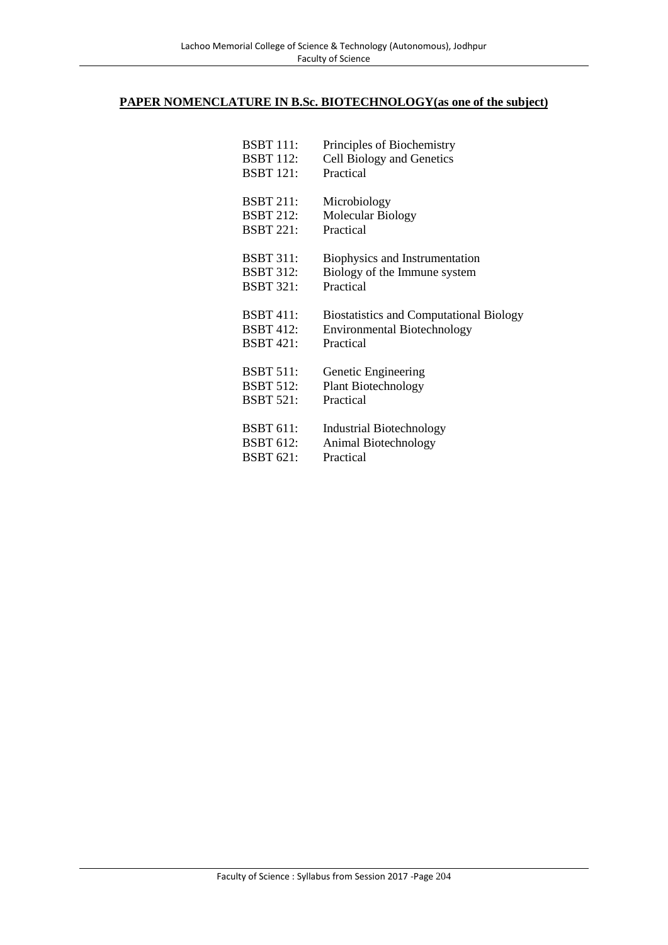#### **PAPER NOMENCLATURE IN B.Sc. BIOTECHNOLOGY(as one of the subject)**

| BSBT 111:        | Principles of Biochemistry                     |
|------------------|------------------------------------------------|
| <b>BSBT 112:</b> | Cell Biology and Genetics                      |
| <b>BSBT 121:</b> | Practical                                      |
| <b>BSBT 211:</b> | Microbiology                                   |
| <b>BSBT 212:</b> | Molecular Biology                              |
| <b>BSBT 221:</b> | Practical                                      |
| BSBT 311:        | Biophysics and Instrumentation                 |
| <b>BSBT 312:</b> | Biology of the Immune system                   |
| <b>BSBT 321:</b> | Practical                                      |
| <b>BSBT 411:</b> | <b>Biostatistics and Computational Biology</b> |
| <b>BSBT 412:</b> | <b>Environmental Biotechnology</b>             |
| <b>BSBT 421:</b> | Practical                                      |
| <b>BSBT 511:</b> | Genetic Engineering                            |
| <b>BSBT 512:</b> | <b>Plant Biotechnology</b>                     |
| <b>BSBT 521:</b> | Practical                                      |
| <b>BSBT 611:</b> | Industrial Biotechnology                       |
| <b>BSBT 612:</b> | Animal Biotechnology                           |
| <b>BSBT 621:</b> | Practical                                      |
|                  |                                                |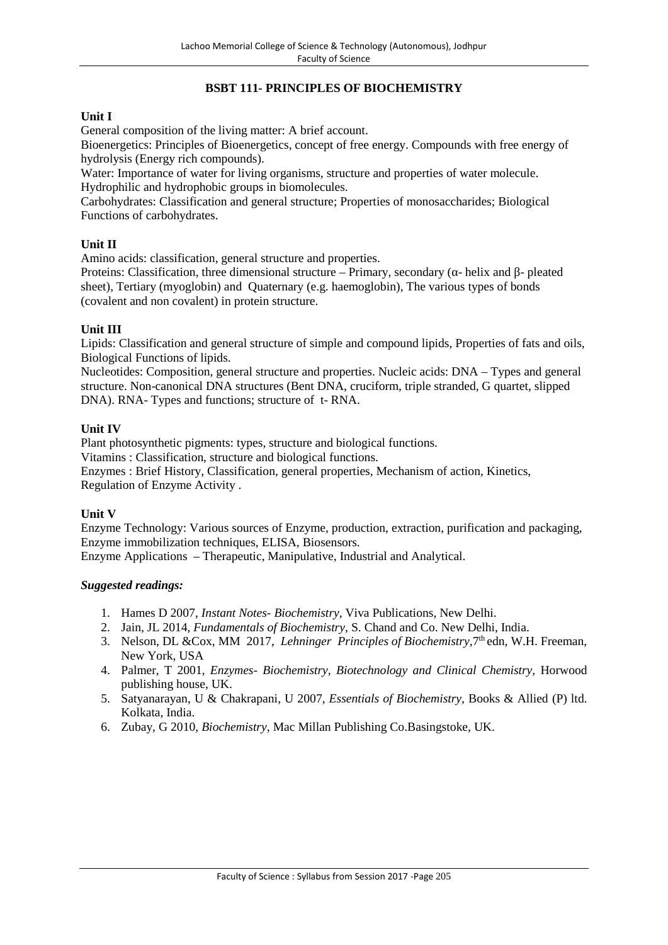# **BSBT 111- PRINCIPLES OF BIOCHEMISTRY**

# **Unit I**

General composition of the living matter: A brief account.

Bioenergetics: Principles of Bioenergetics, concept of free energy. Compounds with free energy of hydrolysis (Energy rich compounds).

Water: Importance of water for living organisms, structure and properties of water molecule. Hydrophilic and hydrophobic groups in biomolecules.

Carbohydrates: Classification and general structure; Properties of monosaccharides; Biological Functions of carbohydrates.

### **Unit II**

Amino acids: classification, general structure and properties.

Proteins: Classification, three dimensional structure – Primary, secondary (- helix and - pleated sheet), Tertiary (myoglobin) and Quaternary (e.g. haemoglobin), The various types of bonds (covalent and non covalent) in protein structure.

### **Unit III**

Lipids: Classification and general structure of simple and compound lipids, Properties of fats and oils, Biological Functions of lipids.

Nucleotides: Composition, general structure and properties. Nucleic acids: DNA – Types and general structure. Non-canonical DNA structures (Bent DNA, cruciform, triple stranded, G quartet, slipped DNA). RNA- Types and functions; structure of t- RNA.

### **Unit IV**

Plant photosynthetic pigments: types, structure and biological functions.

Vitamins : Classification, structure and biological functions.

Enzymes : Brief History, Classification, general properties, Mechanism of action, Kinetics, Regulation of Enzyme Activity .

# **Unit V**

Enzyme Technology: Various sources of Enzyme, production, extraction, purification and packaging, Enzyme immobilization techniques, ELISA, Biosensors.

Enzyme Applications – Therapeutic, Manipulative, Industrial and Analytical.

- 1. Hames D 2007, *Instant Notes- Biochemistry*, Viva Publications, New Delhi.
- 2. Jain, JL 2014, *Fundamentals of Biochemistry*, S. Chand and Co. New Delhi, India.
- 3. Nelson, DL & Cox, MM 2017, *Lehninger Principles of Biochemistry*, 7<sup>th</sup> edn, W.H. Freeman, New York, USA
- 4. Palmer, T 2001, *Enzymes- Biochemistry, Biotechnology and Clinical Chemistry,* Horwood publishing house, UK.
- 5. Satyanarayan, U & Chakrapani, U 2007, *Essentials of Biochemistry*, Books & Allied (P) ltd. Kolkata, India.
- 6. Zubay, G 2010, *Biochemistry*, Mac Millan Publishing Co.Basingstoke, UK.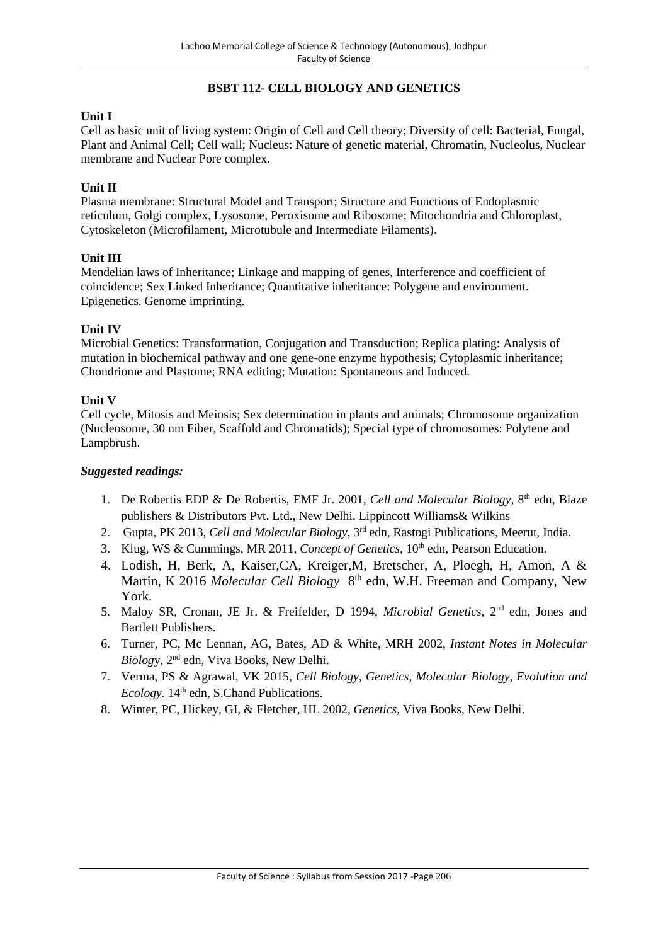# **BSBT 112- CELL BIOLOGY AND GENETICS**

# **Unit I**

Cell as basic unit of living system: Origin of Cell and Cell theory; Diversity of cell: Bacterial, Fungal, Plant and Animal Cell; Cell wall; Nucleus: Nature of genetic material, Chromatin, Nucleolus, Nuclear membrane and Nuclear Pore complex.

### **Unit II**

Plasma membrane: Structural Model and Transport; Structure and Functions of Endoplasmic reticulum, Golgi complex, Lysosome, Peroxisome and Ribosome; Mitochondria and Chloroplast, Cytoskeleton (Microfilament, Microtubule and Intermediate Filaments).

### **Unit III**

Mendelian laws of Inheritance; Linkage and mapping of genes, Interference and coefficient of coincidence; Sex Linked Inheritance; Quantitative inheritance: Polygene and environment. Epigenetics. Genome imprinting.

### **Unit IV**

Microbial Genetics: Transformation, Conjugation and Transduction; Replica plating: Analysis of mutation in biochemical pathway and one gene-one enzyme hypothesis; Cytoplasmic inheritance; Chondriome and Plastome; RNA editing; Mutation: Spontaneous and Induced.

#### **Unit V**

Cell cycle, Mitosis and Meiosis; Sex determination in plants and animals; Chromosome organization (Nucleosome, 30 nm Fiber, Scaffold and Chromatids); Special type of chromosomes: Polytene and Lampbrush.

- 1. De Robertis EDP & De Robertis, EMF Jr. 2001, Cell and Molecular Biology, 8<sup>th</sup> edn, Blaze publishers & Distributors Pvt. Ltd., New Delhi. Lippincott Williams& Wilkins
- 2. Gupta, PK 2013, *Cell and Molecular Biology*, 3rd edn, Rastogi Publications, Meerut, India.
- 3. Klug, WS & Cummings, MR 2011, *Concept of Genetics*, 10<sup>th</sup> edn, Pearson Education.
- 4. Lodish, H, Berk, A, Kaiser,CA, Kreiger,M, Bretscher, A, Ploegh, H, Amon, A & Martin, K 2016 *Molecular Cell Biology* 8<sup>th</sup> edn, W.H. Freeman and Company, New York.
- 5. Maloy SR, Cronan, JE Jr. & Freifelder, D 1994, *Microbial Genetics*, 2<sup>nd</sup> edn, Jones and Bartlett Publishers.
- 6. Turner, PC, Mc Lennan, AG, Bates, AD & White, MRH 2002, *Instant Notes in Molecular Biolog*y, 2nd edn, Viva Books, New Delhi.
- 7. Verma, PS & Agrawal, VK 2015, *Cell Biology, Genetics, Molecular Biology, Evolution and Ecology*. 14<sup>th</sup> edn, S.Chand Publications.
- 8. Winter, PC, Hickey, GI, & Fletcher, HL 2002, *Genetics*, Viva Books, New Delhi.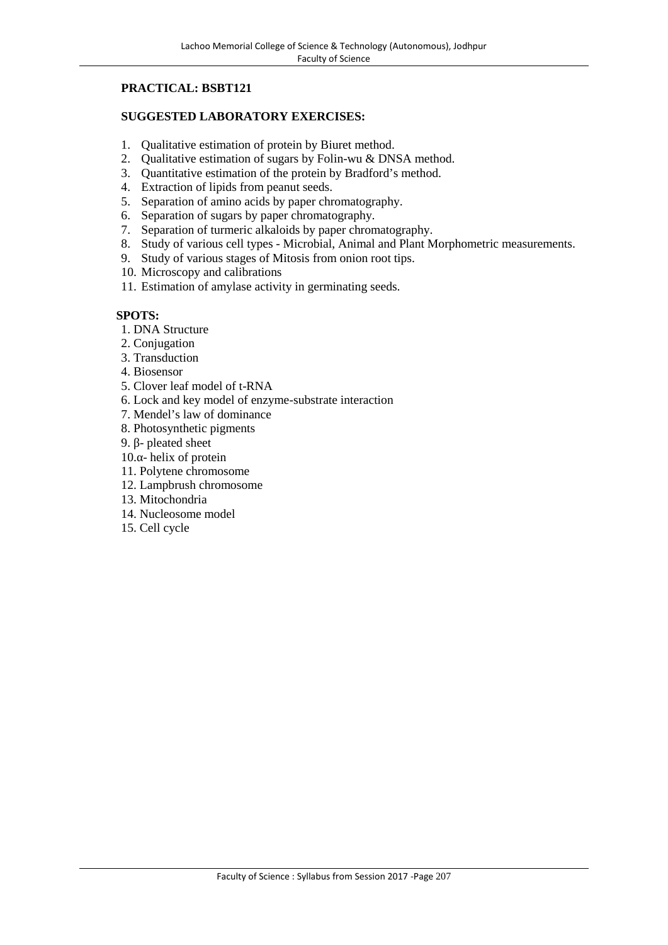# **PRACTICAL: BSBT121**

### **SUGGESTED LABORATORY EXERCISES:**

- 1. Qualitative estimation of protein by Biuret method.<br>2. Qualitative estimation of sugars by Folin-wu & DN
- Qualitative estimation of sugars by Folin-wu & DNSA method.
- 3. Quantitative estimation of the protein by Bradford's method.
- 4. Extraction of lipids from peanut seeds.
- 5. Separation of amino acids by paper chromatography.
- 6. Separation of sugars by paper chromatography.
- 7. Separation of turmeric alkaloids by paper chromatography.
- 8. Study of various cell types Microbial, Animal and Plant Morphometric measurements.
- 9. Study of various stages of Mitosis from onion root tips.
- 10. Microscopy and calibrations
- 11. Estimation of amylase activity in germinating seeds.

- 1. DNA Structure
- 2. Conjugation
- 3. Transduction
- 4. Biosensor
- 5. Clover leaf model of t-RNA
- 6. Lock and key model of enzyme-substrate interaction
- 7. Mendel's law of dominance
- 8. Photosynthetic pigments
- 9. pleated sheet
- 10. helix of protein
- 11. Polytene chromosome
- 12. Lampbrush chromosome
- 13. Mitochondria
- 14. Nucleosome model
- 15. Cell cycle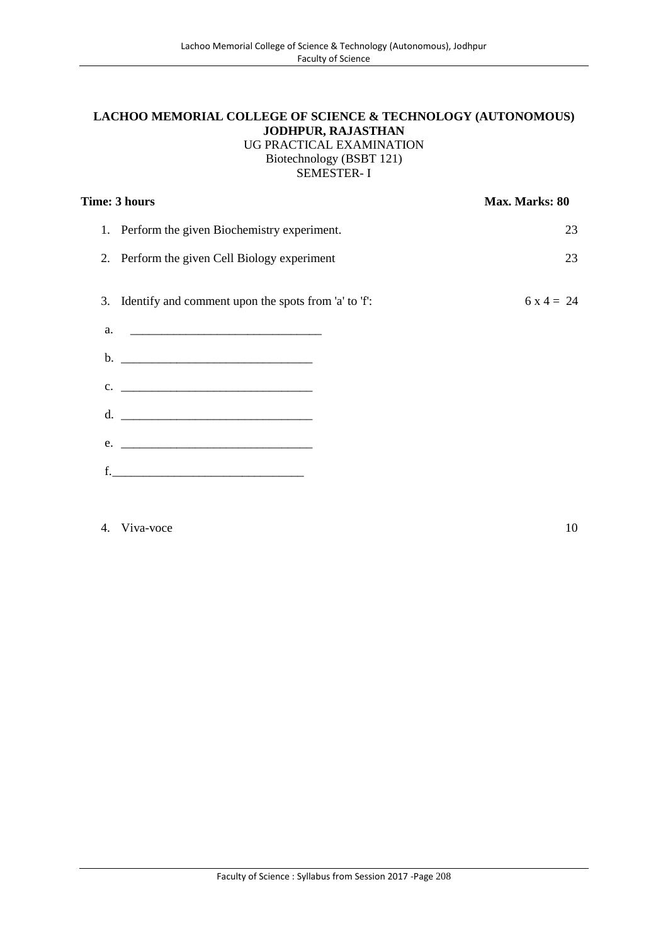## **LACHOO MEMORIAL COLLEGE OF SCIENCE & TECHNOLOGY (AUTONOMOUS) JODHPUR, RAJASTHAN** UG PRACTICAL EXAMINATION Biotechnology (BSBT 121)

SEMESTER- I

|               | Time: 3 hours                                           | Max. Marks: 80 |  |
|---------------|---------------------------------------------------------|----------------|--|
|               | 1. Perform the given Biochemistry experiment.           | 23             |  |
|               | 2. Perform the given Cell Biology experiment            | 23             |  |
|               | 3. Identify and comment upon the spots from 'a' to 'f': | $6x4 = 24$     |  |
| a.            |                                                         |                |  |
| b.            |                                                         |                |  |
| $C_{\bullet}$ |                                                         |                |  |
|               | d. $\qquad \qquad$                                      |                |  |
| e.            |                                                         |                |  |
|               | <u> 1989 - Johann Barbara, martxa alemani</u> ar a      |                |  |

# 4. Viva-voce 10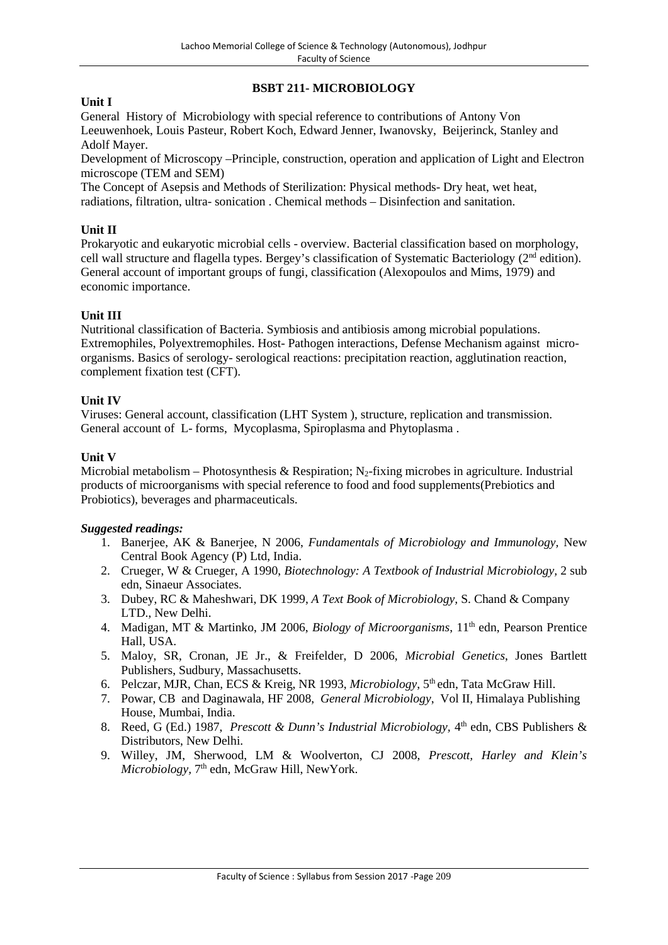# **BSBT 211- MICROBIOLOGY**

# **Unit I**

General History of Microbiology with special reference to contributions of Antony Von Leeuwenhoek, Louis Pasteur, Robert Koch, Edward Jenner, Iwanovsky, Beijerinck, Stanley and Adolf Mayer.

Development of Microscopy –Principle, construction, operation and application of Light and Electron microscope (TEM and SEM)

The Concept of Asepsis and Methods of Sterilization: Physical methods- Dry heat, wet heat, radiations, filtration, ultra- sonication . Chemical methods – Disinfection and sanitation.

# **Unit II**

Prokaryotic and eukaryotic microbial cells - overview. Bacterial classification based on morphology, cell wall structure and flagella types. Bergey's classification of Systematic Bacteriology (2<sup>nd</sup> edition). General account of important groups of fungi, classification (Alexopoulos and Mims, 1979) and economic importance.

# **Unit III**

Nutritional classification of Bacteria. Symbiosis and antibiosis among microbial populations. Extremophiles, Polyextremophiles. Host- Pathogen interactions, Defense Mechanism against micro organisms. Basics of serology- serological reactions: precipitation reaction, agglutination reaction, complement fixation test (CFT).

# **Unit IV**

Viruses: General account, classification (LHT System ), structure, replication and transmission. General account of L- forms, Mycoplasma, Spiroplasma and Phytoplasma .

### **Unit V**

Microbial metabolism – Photosynthesis & Respiration; N<sub>2</sub>-fixing microbes in agriculture. Industrial products of microorganisms with special reference to food and food supplements(Prebiotics and Probiotics), beverages and pharmaceuticals.

- 1. Banerjee, AK & Banerjee, N 2006, *Fundamentals of Microbiology and Immunology,* New Central Book Agency (P) Ltd, India.
- 2. Crueger, W & Crueger, A 1990, *Biotechnology: A Textbook of Industrial Microbiology,* 2 sub edn, Sinaeur Associates.
- 3. Dubey, RC & Maheshwari, DK 1999, *A Text Book of Microbiology,* S. Chand & Company LTD., New Delhi.
- 4. Madigan, MT & Martinko, JM 2006, *Biology of Microorganisms*, 11th edn, Pearson Prentice Hall, USA.
- 5. Maloy, SR, Cronan, JE Jr., & Freifelder, D 2006, *Microbial Genetics*, Jones Bartlett Publishers, Sudbury, Massachusetts.
- 6. Pelczar, MJR, Chan, ECS & Kreig, NR 1993, *Microbiology*, 5th edn, Tata McGraw Hill.
- 7. Powar, CB and Daginawala, HF 2008, *General Microbiology*, Vol II, Himalaya Publishing House, Mumbai, India.
- 8. Reed, G (Ed.) 1987, *Prescott & Dunn's Industrial Microbiology*, 4<sup>th</sup> edn, CBS Publishers & Distributors, New Delhi.
- 9. Willey, JM, Sherwood, LM & Woolverton, CJ 2008, *Prescott, Harley and Klein's* Microbiology, 7<sup>th</sup> edn, McGraw Hill, NewYork.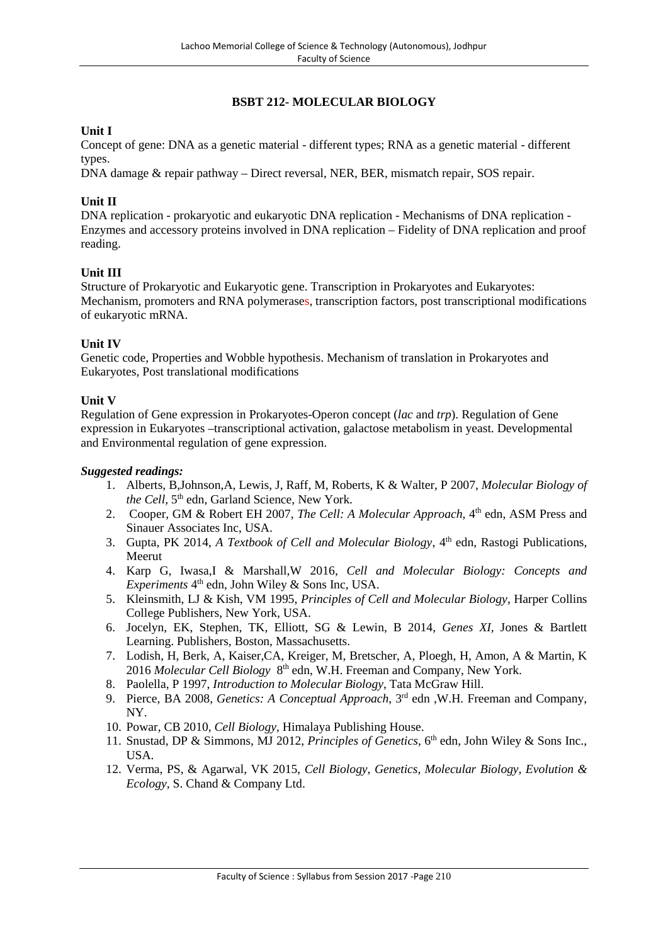# **BSBT 212- MOLECULAR BIOLOGY**

# **Unit I**

Concept of gene: DNA as a genetic material - different types; RNA as a genetic material - different types.

DNA damage & repair pathway – Direct reversal, NER, BER, mismatch repair, SOS repair.

# **Unit II**

DNA replication - prokaryotic and eukaryotic DNA replication - Mechanisms of DNA replication - Enzymes and accessory proteins involved in DNA replication – Fidelity of DNA replication and proof reading.

### **Unit III**

Structure of Prokaryotic and Eukaryotic gene. Transcription in Prokaryotes and Eukaryotes: Mechanism, promoters and RNA polymerases, transcription factors, post transcriptional modifications of eukaryotic mRNA.

### **Unit IV**

Genetic code, Properties and Wobble hypothesis. Mechanism of translation in Prokaryotes and Eukaryotes, Post translational modifications

### **Unit V**

Regulation of Gene expression in Prokaryotes-Operon concept (*lac* and *trp*). Regulation of Gene expression in Eukaryotes –transcriptional activation, galactose metabolism in yeast. Developmental and Environmental regulation of gene expression.

- 1. Alberts, B,Johnson,A, Lewis, J, Raff, M, Roberts, K & Walter, P 2007, *Molecular Biology of the Cell*, 5<sup>th</sup> edn, Garland Science, New York.
- 2. Cooper, GM & Robert EH 2007, *The Cell: A Molecular Approach*, 4th edn, ASM Press and Sinauer Associates Inc, USA.
- 3. Gupta, PK 2014, *A Textbook of Cell and Molecular Biology*, 4<sup>th</sup> edn, Rastogi Publications, Meerut
- 4. Karp G, Iwasa,I & Marshall,W 2016, *Cell and Molecular Biology: Concepts and Experiments* 4 th edn, John Wiley & Sons Inc, USA.
- 5. Kleinsmith, LJ & Kish, VM 1995, *Principles of Cell and Molecular Biology*, Harper Collins College Publishers, New York, USA.
- 6. Jocelyn, EK, Stephen, TK, Elliott, SG & Lewin, B 2014, *Genes XI*, Jones & Bartlett Learning. Publishers, Boston, Massachusetts.
- 7. Lodish, H, Berk, A, Kaiser,CA, Kreiger, M, Bretscher, A, Ploegh, H, Amon, A & Martin, K 2016 *Molecular Cell Biology* 8 th edn, W.H. Freeman and Company, New York.
- 8. Paolella, P 1997, *Introduction to Molecular Biology*, Tata McGraw Hill.
- 9. Pierce, BA 2008, *Genetics: A Conceptual Approach*, 3<sup>rd</sup> edn, W.H. Freeman and Company, NY.
- 10. Powar, CB 2010, *Cell Biology*, Himalaya Publishing House.
- 11. Snustad, DP & Simmons, MJ 2012, *Principles of Genetics*, 6<sup>th</sup> edn, John Wiley & Sons Inc., USA.
- 12. Verma, PS, & Agarwal, VK 2015, *Cell Biology, Genetics, Molecular Biology, Evolution & Ecology,* S. Chand & Company Ltd.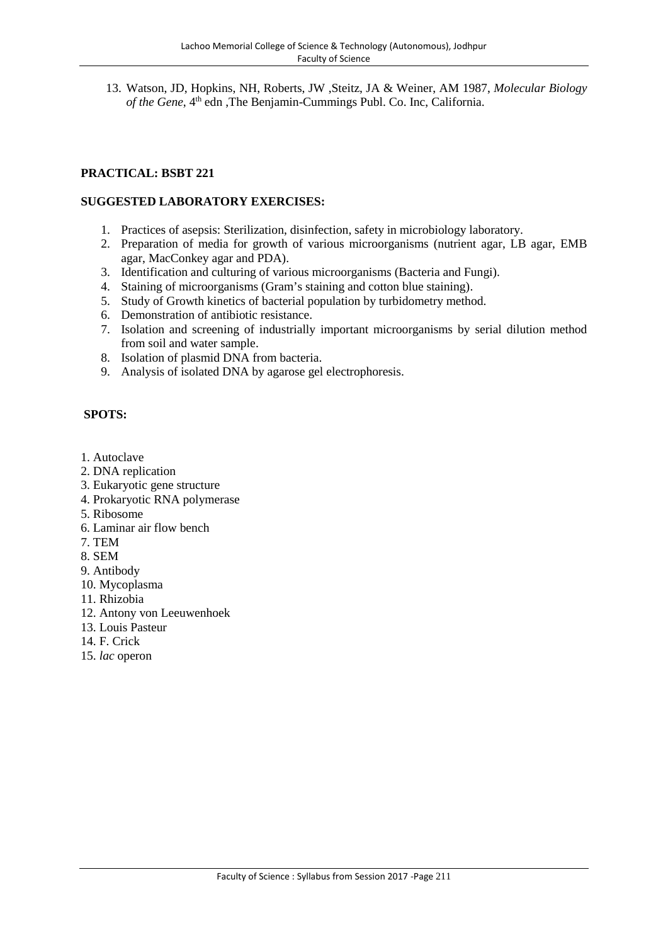13. Watson, JD, Hopkins, NH, Roberts, JW ,Steitz, JA & Weiner, AM 1987, *Molecular Biology* of the Gene, 4<sup>th</sup> edn ,The Benjamin-Cummings Publ. Co. Inc, California.

# **PRACTICAL: BSBT 221**

### **SUGGESTED LABORATORY EXERCISES:**

- 1. Practices of asepsis: Sterilization, disinfection, safety in microbiology laboratory.
- 2. Preparation of media for growth of various microorganisms (nutrient agar, LB agar, EMB agar, MacConkey agar and PDA).
- 3. Identification and culturing of various microorganisms (Bacteria and Fungi).
- 4. Staining of microorganisms (Gram's staining and cotton blue staining).
- 5. Study of Growth kinetics of bacterial population by turbidometry method.
- 6. Demonstration of antibiotic resistance.
- 7. Isolation and screening of industrially important microorganisms by serial dilution method from soil and water sample.
- 8. Isolation of plasmid DNA from bacteria.
- 9. Analysis of isolated DNA by agarose gel electrophoresis.

- 1. Autoclave
- 2. DNA replication
- 3. Eukaryotic gene structure
- 4. Prokaryotic RNA polymerase
- 5. Ribosome
- 6. Laminar air flow bench
- 7. TEM
- 8. SEM
- 9. Antibody
- 10. Mycoplasma
- 11. Rhizobia
- 12. Antony von Leeuwenhoek
- 13. Louis Pasteur
- 14. F. Crick
- 15. *lac* operon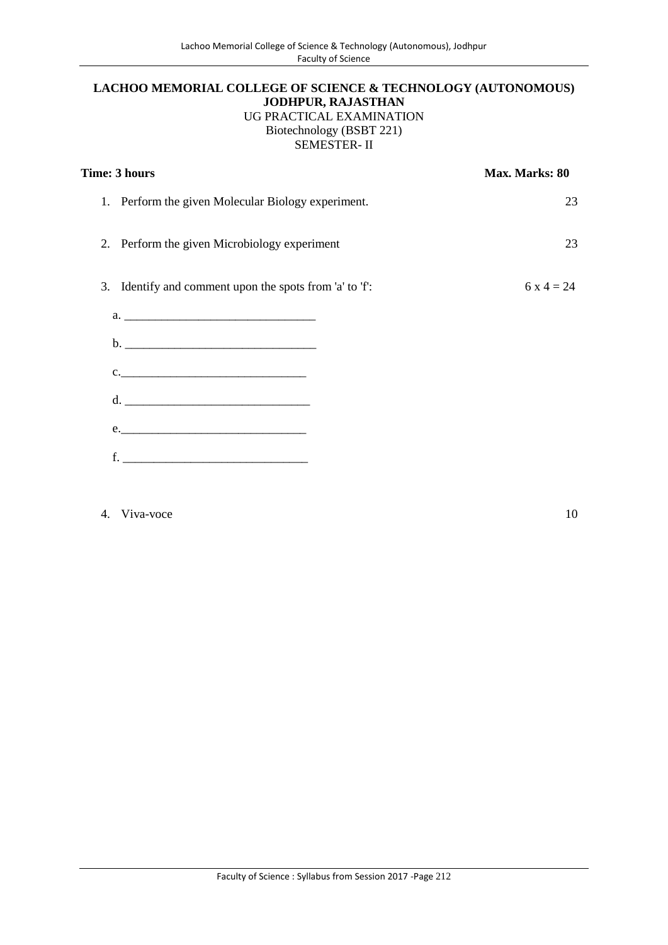# **LACHOO MEMORIAL COLLEGE OF SCIENCE & TECHNOLOGY (AUTONOMOUS) JODHPUR, RAJASTHAN** UG PRACTICAL EXAMINATION Biotechnology (BSBT 221) SEMESTER- II

| Time: 3 hours                                                                                                                                                                                                                                                                                                                                                             | Max. Marks: 80 |
|---------------------------------------------------------------------------------------------------------------------------------------------------------------------------------------------------------------------------------------------------------------------------------------------------------------------------------------------------------------------------|----------------|
| 1. Perform the given Molecular Biology experiment.                                                                                                                                                                                                                                                                                                                        | 23             |
| Perform the given Microbiology experiment<br>2.                                                                                                                                                                                                                                                                                                                           | 23             |
| Identify and comment upon the spots from 'a' to 'f':<br>3.                                                                                                                                                                                                                                                                                                                | $6x4 = 24$     |
|                                                                                                                                                                                                                                                                                                                                                                           |                |
|                                                                                                                                                                                                                                                                                                                                                                           |                |
|                                                                                                                                                                                                                                                                                                                                                                           |                |
|                                                                                                                                                                                                                                                                                                                                                                           |                |
| e.                                                                                                                                                                                                                                                                                                                                                                        |                |
| $f.$ $\qquad \qquad$ $\qquad \qquad$ $\qquad \qquad$ $\qquad \qquad$ $\qquad \qquad$ $\qquad \qquad$ $\qquad \qquad$ $\qquad \qquad$ $\qquad \qquad$ $\qquad \qquad$ $\qquad \qquad$ $\qquad \qquad$ $\qquad \qquad$ $\qquad$ $\qquad$ $\qquad$ $\qquad$ $\qquad$ $\qquad$ $\qquad$ $\qquad$ $\qquad$ $\qquad$ $\qquad$ $\qquad$ $\qquad$ $\qquad$ $\qquad$ $\qquad$ $\q$ |                |
|                                                                                                                                                                                                                                                                                                                                                                           |                |

4. Viva-voce 10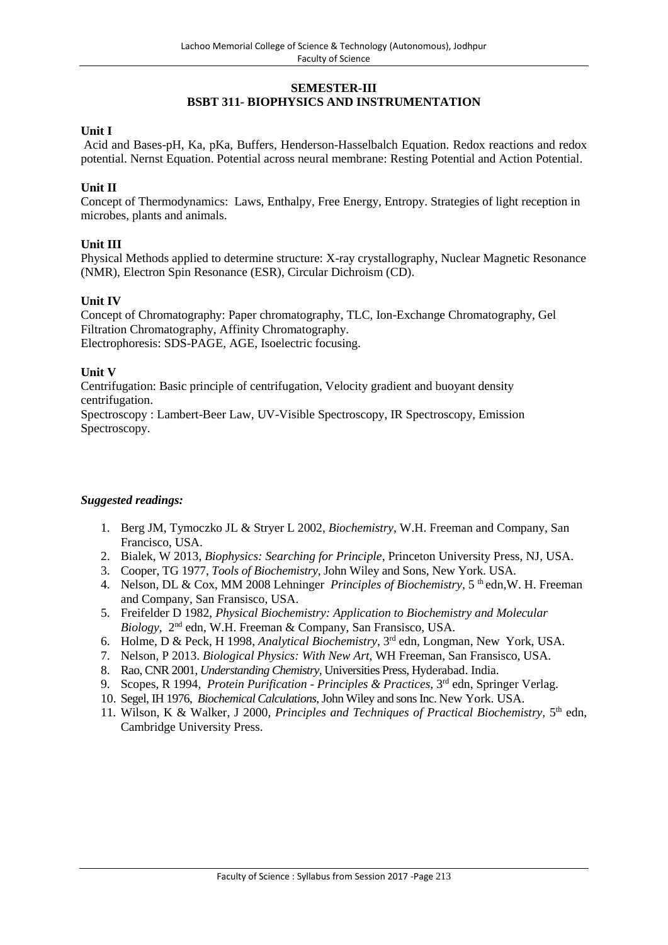# **SEMESTER-III BSBT 311- BIOPHYSICS AND INSTRUMENTATION**

# **Unit I**

Acid and Bases-pH, Ka, pKa, Buffers, Henderson-Hasselbalch Equation. Redox reactions and redox potential. Nernst Equation. Potential across neural membrane: Resting Potential and Action Potential.

# **Unit II**

Concept of Thermodynamics: Laws, Enthalpy, Free Energy, Entropy. Strategies of light reception in microbes, plants and animals.

# **Unit III**

Physical Methods applied to determine structure: X-ray crystallography, Nuclear Magnetic Resonance (NMR), Electron Spin Resonance (ESR), Circular Dichroism (CD).

#### **Unit IV**

Concept of Chromatography: Paper chromatography, TLC, Ion-Exchange Chromatography, Gel Filtration Chromatography, Affinity Chromatography. Electrophoresis: SDS-PAGE, AGE, Isoelectric focusing.

### **Unit V**

Centrifugation: Basic principle of centrifugation, Velocity gradient and buoyant density centrifugation.

Spectroscopy : Lambert-Beer Law, UV-Visible Spectroscopy, IR Spectroscopy, Emission Spectroscopy.

- 1. Berg JM, Tymoczko JL & Stryer L 2002, *Biochemistry*, W.H. Freeman and Company, San Francisco, USA.
- 2. Bialek, W 2013, *Biophysics: Searching for Principle*, Princeton University Press, NJ, USA.
- 3. Cooper, TG 1977, *Tools of Biochemistry*, John Wiley and Sons, New York. USA.
- 4. Nelson, DL & Cox, MM 2008 Lehninger *Principles of Biochemistry*, 5<sup>th</sup> edn, W. H. Freeman and Company, San Fransisco, USA.
- 5. Freifelder D 1982, *Physical Biochemistry: Application to Biochemistry and Molecular Biology*, 2nd edn, W.H. Freeman & Company, San Fransisco, USA.
- 6. Holme, D & Peck, H 1998, *Analytical Biochemistry,* 3 rd edn, Longman, New York, USA.
- 7. Nelson, P 2013. *Biological Physics: With New Art*, WH Freeman, San Fransisco, USA.
- 8. Rao, CNR 2001, *Understanding Chemistry*, Universities Press, Hyderabad. India.
- 9. Scopes, R 1994, *Protein Purification Principles & Practices*, 3<sup>rd</sup> edn, Springer Verlag.
- 10. Segel, IH 1976, *Biochemical Calculations*, John Wiley and sons Inc. New York. USA.
- 11. Wilson, K & Walker, J 2000, Principles and Techniques of Practical Biochemistry, 5<sup>th</sup> edn, Cambridge University Press.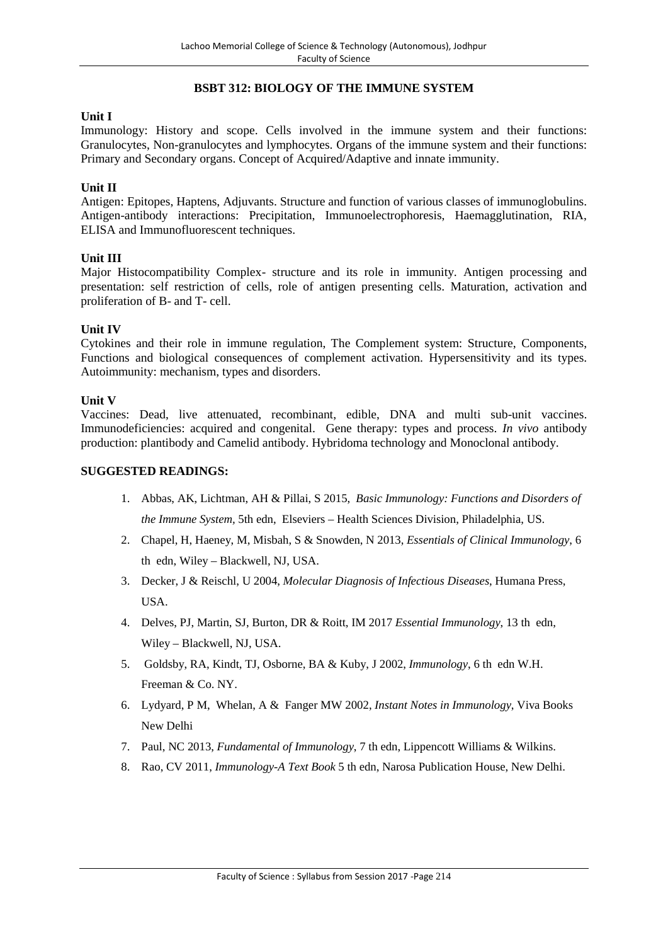# **BSBT 312: BIOLOGY OF THE IMMUNE SYSTEM**

#### **Unit I**

Immunology: History and scope. Cells involved in the immune system and their functions: Granulocytes, Non-granulocytes and lymphocytes. Organs of the immune system and their functions: Primary and Secondary organs. Concept of Acquired/Adaptive and innate immunity.

#### **Unit II**

Antigen: Epitopes, Haptens, Adjuvants. Structure and function of various classes of immunoglobulins. Antigen-antibody interactions: Precipitation, Immunoelectrophoresis, Haemagglutination, RIA, ELISA and Immunofluorescent techniques.

### **Unit III**

Major Histocompatibility Complex- structure and its role in immunity. Antigen processing and presentation: self restriction of cells, role of antigen presenting cells. Maturation, activation and proliferation of B- and T- cell.

#### **Unit IV**

Cytokines and their role in immune regulation, The Complement system: Structure, Components, Functions and biological consequences of complement activation. Hypersensitivity and its types. Autoimmunity: mechanism, types and disorders.

#### **Unit V**

Vaccines: Dead, live attenuated, recombinant, edible, DNA and multi sub-unit vaccines. Immunodeficiencies: acquired and congenital. Gene therapy: types and process. *In vivo* antibody production: plantibody and Camelid antibody. Hybridoma technology and Monoclonal antibody.

#### **SUGGESTED READINGS:**

- 1. Abbas, AK, Lichtman, AH & Pillai, S 2015, *Basic Immunology: Functions and Disorders of the Immune System,* 5th edn, Elseviers – Health Sciences Division, Philadelphia, US.
- 2. Chapel, H, Haeney, M, Misbah, S & Snowden, N 2013, *Essentials of Clinical Immunology*, 6 th edn, Wiley – Blackwell, NJ, USA.
- 3. Decker, J & Reischl, U 2004, *Molecular Diagnosis of Infectious Diseases*, Humana Press, **USA**
- 4. Delves, PJ, Martin, SJ, Burton, DR & Roitt, IM 2017 *Essential Immunology*, 13 th edn, Wiley – Blackwell, NJ, USA.
- 5. Goldsby, RA, Kindt, TJ, Osborne, BA & Kuby, J 2002, *Immunology*, 6 th edn W.H. Freeman & Co. NY.
- 6. Lydyard, P M, Whelan, A & Fanger MW 2002, *Instant Notes in Immunology*, Viva Books New Delhi
- 7. Paul, NC 2013, *Fundamental of Immunology*, 7 th edn, Lippencott Williams & Wilkins.
- 8. Rao, CV 2011, *Immunology-A Text Book* 5 th edn, Narosa Publication House, New Delhi.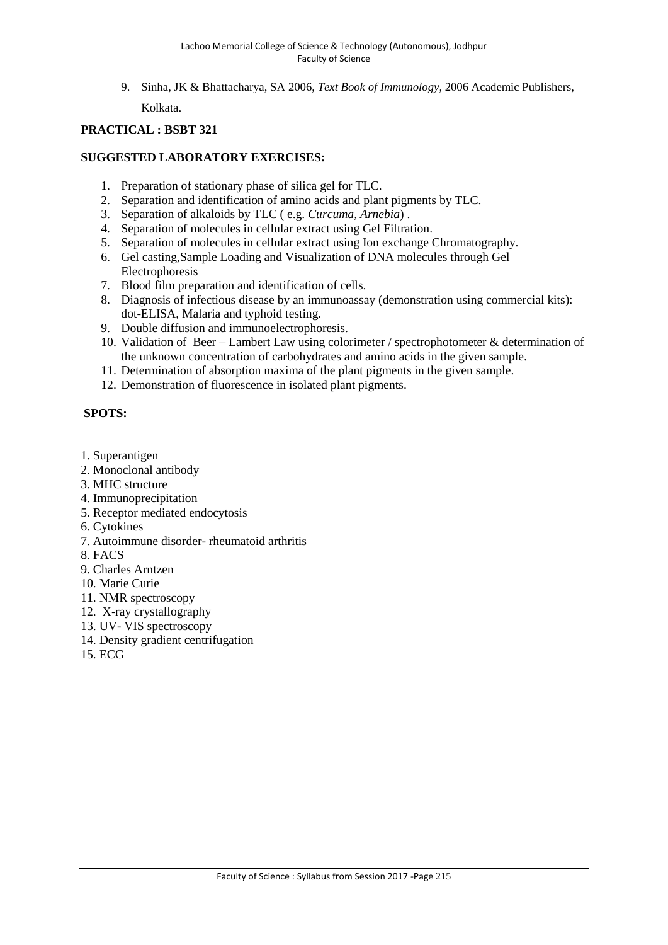9. Sinha, JK & Bhattacharya, SA 2006, *Text Book of Immunology,* 2006 Academic Publishers,

Kolkata.

# **PRACTICAL : BSBT 321**

# **SUGGESTED LABORATORY EXERCISES:**

- 1. Preparation of stationary phase of silica gel for TLC.
- 2. Separation and identification of amino acids and plant pigments by TLC.
- 3. Separation of alkaloids by TLC ( e.g. *Curcuma, Arnebia*) .
- 4. Separation of molecules in cellular extract using Gel Filtration.
- 5. Separation of molecules in cellular extract using Ion exchange Chromatography.
- 6. Gel casting,Sample Loading and Visualization of DNA molecules through Gel Electrophoresis
- 7. Blood film preparation and identification of cells.
- 8. Diagnosis of infectious disease by an immunoassay (demonstration using commercial kits): dot-ELISA, Malaria and typhoid testing.
- 9. Double diffusion and immunoelectrophoresis.
- 10. Validation of Beer Lambert Law using colorimeter / spectrophotometer & determination of the unknown concentration of carbohydrates and amino acids in the given sample.
- 11. Determination of absorption maxima of the plant pigments in the given sample.
- 12. Demonstration of fluorescence in isolated plant pigments.

- 1. Superantigen
- 2. Monoclonal antibody
- 3. MHC structure
- 4. Immunoprecipitation
- 5. Receptor mediated endocytosis
- 6. Cytokines
- 7. Autoimmune disorder- rheumatoid arthritis
- 8. FACS
- 9. Charles Arntzen
- 10. Marie Curie
- 11. NMR spectroscopy
- 12. X-ray crystallography
- 13. UV- VIS spectroscopy
- 14. Density gradient centrifugation
- 15. ECG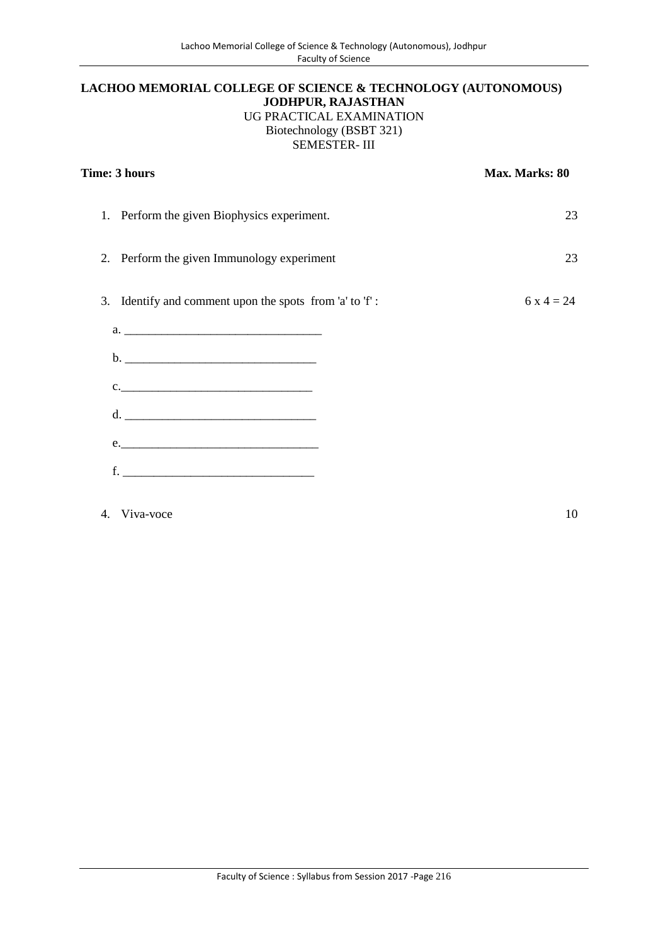# **LACHOO MEMORIAL COLLEGE OF SCIENCE & TECHNOLOGY (AUTONOMOUS) JODHPUR, RAJASTHAN** UG PRACTICAL EXAMINATION Biotechnology (BSBT 321) SEMESTER- III

| Time: 3 hours                                              | Max. Marks: 80 |
|------------------------------------------------------------|----------------|
| 1. Perform the given Biophysics experiment.                | 23             |
| Perform the given Immunology experiment<br>2.              | 23             |
| Identify and comment upon the spots from 'a' to 'f':<br>3. | $6x4 = 24$     |
|                                                            |                |
|                                                            |                |
| $c.$ $\overline{\phantom{a}}$                              |                |
| d. $\overline{\phantom{a}}$                                |                |
| e.                                                         |                |
|                                                            |                |
| 4. Viva-voce                                               | 10             |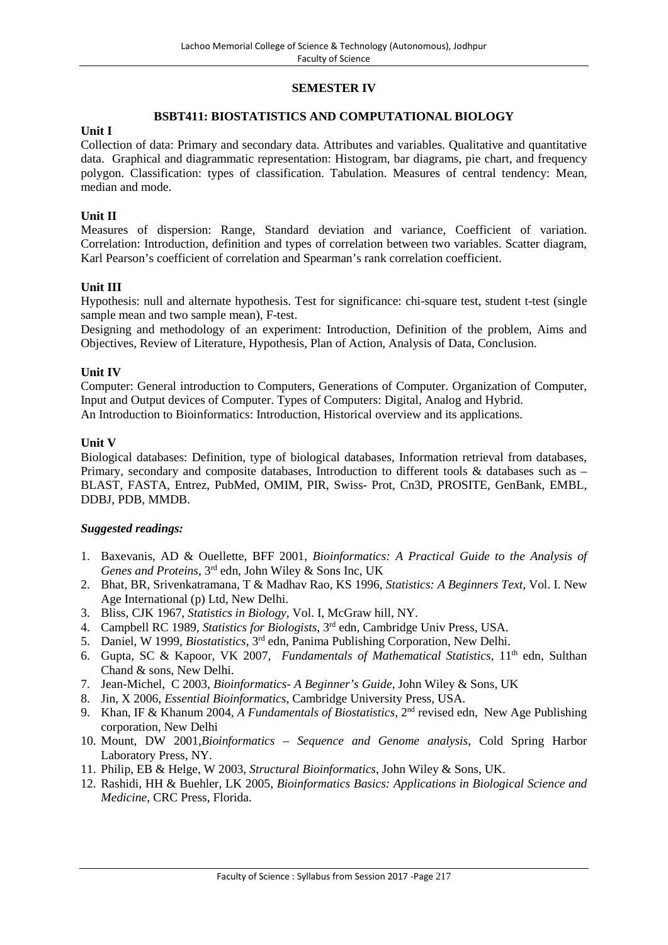# **SEMESTER IV**

## **BSBT411: BIOSTATISTICS AND COMPUTATIONAL BIOLOGY**

### **Unit I**

Collection of data: Primary and secondary data. Attributes and variables. Qualitative and quantitative data. Graphical and diagrammatic representation: Histogram, bar diagrams, pie chart, and frequency polygon. Classification: types of classification. Tabulation. Measures of central tendency: Mean, median and mode.

# **Unit II**

Measures of dispersion: Range, Standard deviation and variance, Coefficient of variation. Correlation: Introduction, definition and types of correlation between two variables. Scatter diagram, Karl Pearson's coefficient of correlation and Spearman's rank correlation coefficient.

### **Unit III**

Hypothesis: null and alternate hypothesis. Test for significance: chi-square test, student t-test (single sample mean and two sample mean), F-test.

Designing and methodology of an experiment: Introduction, Definition of the problem, Aims and Objectives, Review of Literature, Hypothesis, Plan of Action, Analysis of Data, Conclusion.

### **Unit IV**

Computer: General introduction to Computers, Generations of Computer. Organization of Computer, Input and Output devices of Computer. Types of Computers: Digital, Analog and Hybrid. An Introduction to Bioinformatics: Introduction, Historical overview and its applications.

### **Unit V**

Biological databases: Definition, type of biological databases, Information retrieval from databases, Primary, secondary and composite databases, Introduction to different tools & databases such as – BLAST, FASTA, Entrez, PubMed, OMIM, PIR, Swiss- Prot, Cn3D, PROSITE, GenBank, EMBL, DDBJ, PDB, MMDB.

- 1. Baxevanis, AD & Ouellette, BFF 2001, *Bioinformatics: A Practical Guide to the Analysis of Genes and Proteins*, 3rd edn, John Wiley & Sons Inc, UK
- 2. Bhat, BR, Srivenkatramana, T & Madhav Rao, KS 1996, *Statistics: A Beginners Text,* Vol. I. New Age International (p) Ltd, New Delhi.
- 3. Bliss, CJK 1967, *Statistics in Biology*, Vol. I, McGraw hill, NY.
- 4. Campbell RC 1989, *Statistics for Biologists*, 3rd edn, Cambridge Univ Press, USA.
- 5. Daniel, W 1999, *Biostatistics*, 3rd edn, Panima Publishing Corporation, New Delhi.
- 6. Gupta, SC & Kapoor, VK 2007, *Fundamentals of Mathematical Statistics*, 11<sup>th</sup> edn, Sulthan Chand & sons, New Delhi.
- 7. Jean-Michel, C 2003, *Bioinformatics- A Beginner's Guide*, John Wiley & Sons, UK
- 8. Jin, X 2006, *Essential Bioinformatics*, Cambridge University Press, USA.
- 9. Khan, IF & Khanum 2004, *A Fundamentals of Biostatistics*, 2<sup>nd</sup> revised edn, New Age Publishing corporation, New Delhi
- 10. Mount, DW 2001,*Bioinformatics – Sequence and Genome analysis*, Cold Spring Harbor Laboratory Press, NY.
- 11. Philip, EB & Helge, W 2003, *Structural Bioinformatics*, John Wiley & Sons, UK.
- 12. Rashidi, HH & Buehler, LK 2005, *Bioinformatics Basics: Applications in Biological Science and Medicine*, CRC Press, Florida.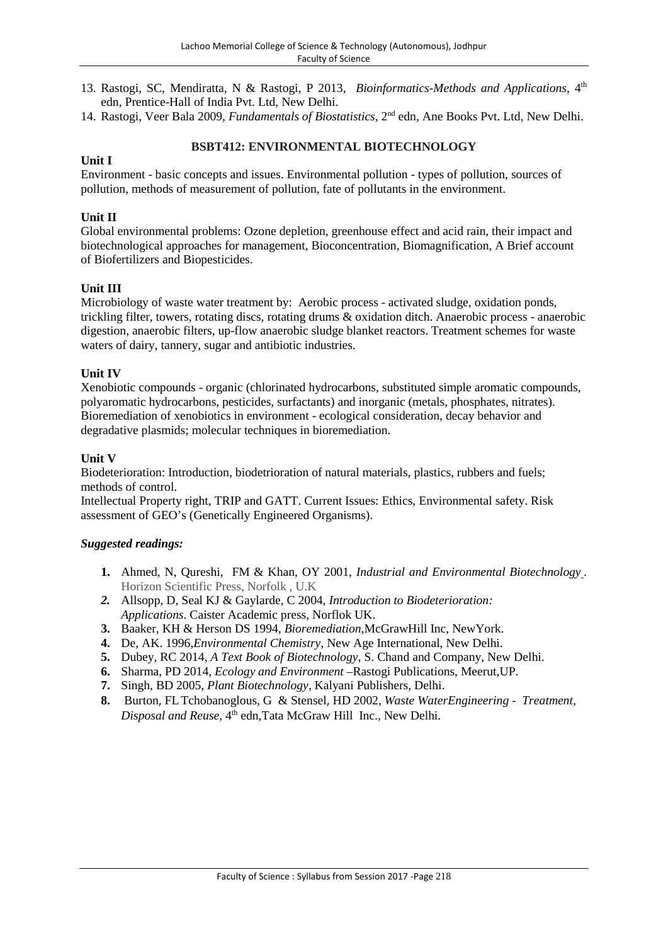- 13. Rastogi, SC, Mendiratta, N & Rastogi, P 2013, *Bioinformatics-Methods and Applications*, 4th edn, Prentice-Hall of India Pvt. Ltd, New Delhi.
- 14. Rastogi, Veer Bala 2009, *Fundamentals of Biostatistics*, 2nd edn, Ane Books Pvt. Ltd, New Delhi.

# **BSBT412: ENVIRONMENTAL BIOTECHNOLOGY**

# **Unit I**

Environment - basic concepts and issues. Environmental pollution - types of pollution, sources of pollution, methods of measurement of pollution, fate of pollutants in the environment.

# **Unit II**

Global environmental problems: Ozone depletion, greenhouse effect and acid rain, their impact and biotechnological approaches for management, Bioconcentration, Biomagnification, A Brief account of Biofertilizers and Biopesticides.

# **Unit III**

Microbiology of waste water treatment by: Aerobic process - activated sludge, oxidation ponds, trickling filter, towers, rotating discs, rotating drums & oxidation ditch. Anaerobic process - anaerobic digestion, anaerobic filters, up-flow anaerobic sludge blanket reactors. Treatment schemes for waste waters of dairy, tannery, sugar and antibiotic industries.

# **Unit IV**

Xenobiotic compounds - organic (chlorinated hydrocarbons, substituted simple aromatic compounds, polyaromatic hydrocarbons, pesticides, surfactants) and inorganic (metals, phosphates, nitrates). Bioremediation of xenobiotics in environment - ecological consideration, decay behavior and degradative plasmids; molecular techniques in bioremediation.

# **Unit V**

Biodeterioration: Introduction, biodetrioration of natural materials, plastics, rubbers and fuels; methods of control.

Intellectual Property right, TRIP and GATT. Current Issues: Ethics, Environmental safety. Risk assessment of GEO's (Genetically Engineered Organisms).

- **1.** Ahmed, N, Qureshi, FM & Khan, OY 2001, *Industrial and Environmental Biotechnology .* Horizon Scientific Press, Norfolk , U.K
- *2.* Allsopp, D, Seal KJ & Gaylarde, C 2004, *Introduction to Biodeterioration: Applications*. Caister Academic press, Norflok UK.
- **3.** Baaker, KH & Herson DS 1994*, Bioremediation*,McGrawHill Inc, NewYork.
- **4.** De, AK. 1996,*Environmental Chemistry*, New Age International, New Delhi.
- **5.** Dubey, RC 2014, *A Text Book of Biotechnology*, S. Chand and Company, New Delhi.
- **6.** Sharma, PD 2014, *Ecology and Environment* –Rastogi Publications, Meerut,UP.
- **7.** Singh, BD 2005, *Plant Biotechnology*, Kalyani Publishers, Delhi.
- **8.** Burton, FLTchobanoglous, G & Stensel, HD 2002, *Waste WaterEngineering - Treatment, Disposal and Reuse*, 4 th edn,Tata McGraw Hill Inc., New Delhi.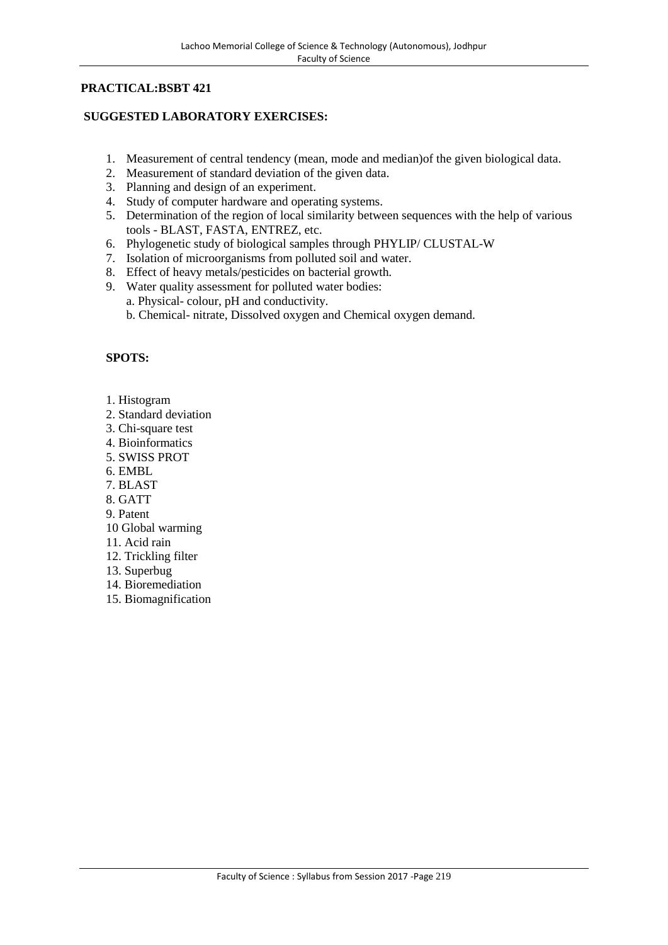# **PRACTICAL:BSBT 421**

# **SUGGESTED LABORATORY EXERCISES:**

- 1. Measurement of central tendency (mean, mode and median)of the given biological data.
- 2. Measurement of standard deviation of the given data.
- 3. Planning and design of an experiment.
- 4. Study of computer hardware and operating systems.
- 5. Determination of the region of local similarity between sequences with the help of various tools - BLAST, FASTA, ENTREZ, etc.
- 6. Phylogenetic study of biological samples through PHYLIP/ CLUSTAL-W
- 7. Isolation of microorganisms from polluted soil and water.
- 8. Effect of heavy metals/pesticides on bacterial growth.
- 9. Water quality assessment for polluted water bodies: a. Physical- colour, pH and conductivity. b. Chemical- nitrate, Dissolved oxygen and Chemical oxygen demand.

- 1. Histogram
- 2. Standard deviation
- 3. Chi-square test
- 4. Bioinformatics
- 5. SWISS PROT
- 6. EMBL
- 7. BLAST
- 8. GATT
- 9. Patent
- 10 Global warming
- 11. Acid rain
- 12. Trickling filter
- 13. Superbug
- 14. Bioremediation
- 15. Biomagnification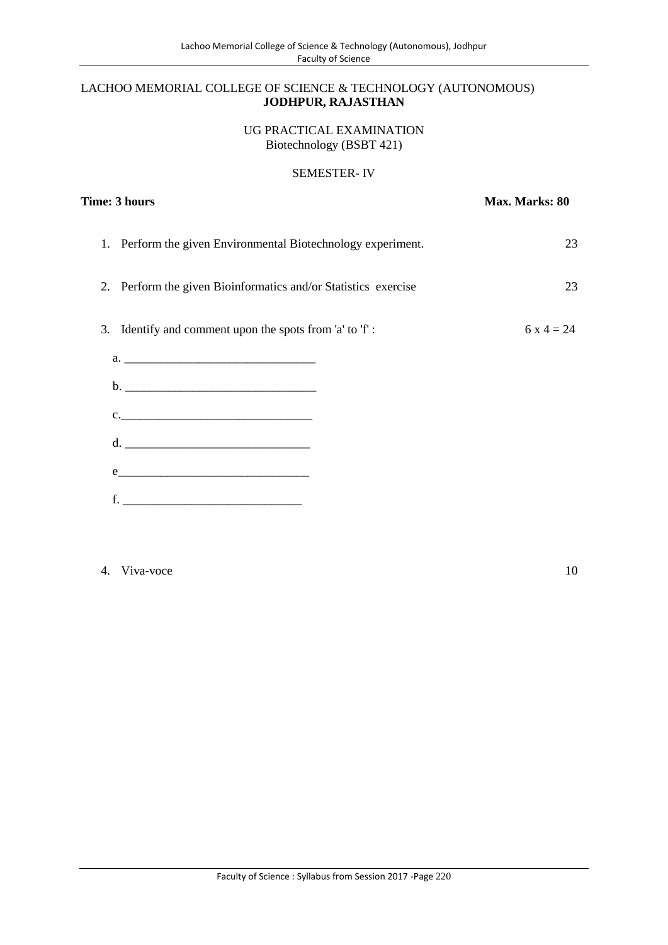# LACHOO MEMORIAL COLLEGE OF SCIENCE & TECHNOLOGY (AUTONOMOUS) **JODHPUR, RAJASTHAN**

## UG PRACTICAL EXAMINATION Biotechnology (BSBT 421)

# SEMESTER- IV

| Time: 3 hours                                                                                                                                                                                                                 | Max. Marks: 80 |  |
|-------------------------------------------------------------------------------------------------------------------------------------------------------------------------------------------------------------------------------|----------------|--|
| Perform the given Environmental Biotechnology experiment.<br>1.                                                                                                                                                               | 23             |  |
| 2. Perform the given Bioinformatics and/or Statistics exercise                                                                                                                                                                | 23             |  |
| 3. Identify and comment upon the spots from 'a' to 'f':                                                                                                                                                                       | $6x4 = 24$     |  |
|                                                                                                                                                                                                                               |                |  |
| $c.$ $\overline{\phantom{a}}$                                                                                                                                                                                                 |                |  |
|                                                                                                                                                                                                                               |                |  |
| $e$ and $e$ and $e$ and $e$ and $e$ and $e$ and $e$ and $e$ and $e$ and $e$ and $e$ and $e$ and $e$ and $e$ and $e$ and $e$ and $e$ and $e$ and $e$ and $e$ and $e$ and $e$ and $e$ and $e$ and $e$ and $e$ and $e$ and $e$ a |                |  |
| <u> 1989 - Johann Barbara, martxa al</u><br>f.                                                                                                                                                                                |                |  |

# 4. Viva-voce 10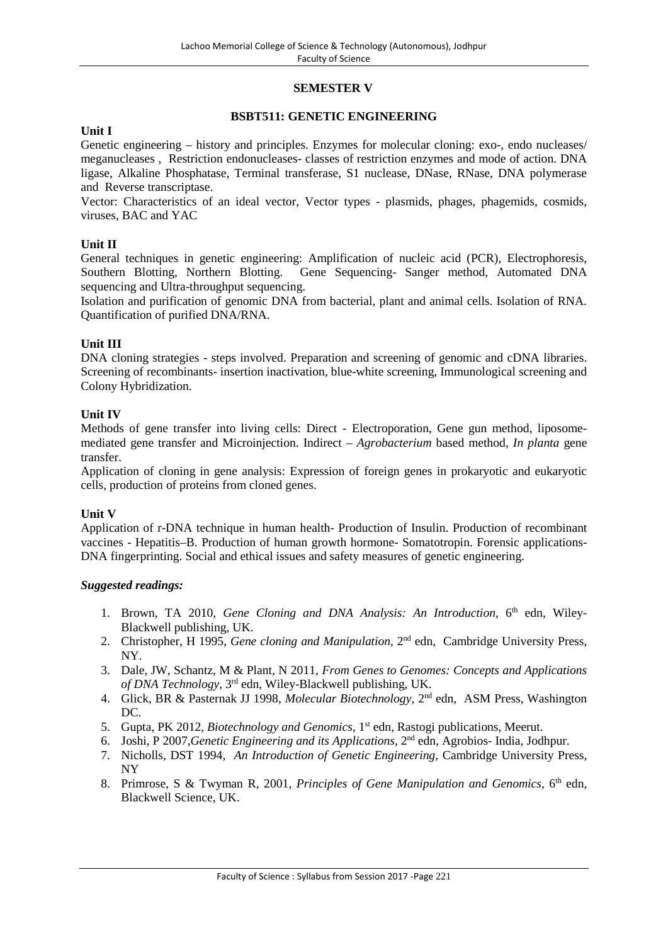# **SEMESTER V**

## **BSBT511: GENETIC ENGINEERING**

#### **Unit I**

Genetic engineering – history and principles. Enzymes for molecular cloning: exo-, endo nucleases/ meganucleases , Restriction endonucleases- classes of restriction enzymes and mode of action. DNA ligase, Alkaline Phosphatase, Terminal transferase, S1 nuclease, DNase, RNase, DNA polymerase and Reverse transcriptase.

Vector: Characteristics of an ideal vector, Vector types - plasmids, phages, phagemids, cosmids, viruses, BAC and YAC

# **Unit II**

General techniques in genetic engineering: Amplification of nucleic acid (PCR), Electrophoresis, Southern Blotting, Northern Blotting. Gene Sequencing- Sanger method, Automated DNA sequencing and Ultra-throughput sequencing.

Isolation and purification of genomic DNA from bacterial, plant and animal cells. Isolation of RNA. Quantification of purified DNA/RNA.

### **Unit III**

DNA cloning strategies - steps involved. Preparation and screening of genomic and cDNA libraries. Screening of recombinants- insertion inactivation, blue-white screening, Immunological screening and Colony Hybridization.

### **Unit IV**

Methods of gene transfer into living cells: Direct - Electroporation, Gene gun method, liposome mediated gene transfer and Microinjection. Indirect – *Agrobacterium* based method, *In planta* gene transfer.

Application of cloning in gene analysis: Expression of foreign genes in prokaryotic and eukaryotic cells, production of proteins from cloned genes.

# **Unit V**

Application of r-DNA technique in human health- Production of Insulin. Production of recombinant vaccines - Hepatitis–B. Production of human growth hormone- Somatotropin. Forensic applications- DNA fingerprinting. Social and ethical issues and safety measures of genetic engineering.

- 1. Brown, TA 2010, *Gene Cloning and DNA Analysis: An Introduction*, 6<sup>th</sup> edn, Wiley-Blackwell publishing, UK.
- 2. Christopher, H 1995, *Gene cloning and Manipulation*, 2nd edn, Cambridge University Press, NY.
- 3. Dale, JW, Schantz, M & Plant, N 2011, *From Genes to Genomes: Concepts and Applications of DNA Technology,* 3 rd edn, Wiley-Blackwell publishing, UK.
- 4. Glick, BR & Pasternak JJ 1998, *Molecular Biotechnology*, 2nd edn, ASM Press, Washington DC.
- 5. Gupta, PK 2012, *Biotechnology and Genomics*, 1st edn, Rastogi publications, Meerut.
- 6. Joshi, P 2007,*Genetic Engineering and its Applications*, 2nd edn, Agrobios- India, Jodhpur.
- 7. Nicholls, DST 1994, *An Introduction of Genetic Engineering*, Cambridge University Press, NY
- 8. Primrose, S & Twyman R, 2001, *Principles of Gene Manipulation and Genomics*, 6<sup>th</sup> edn, Blackwell Science, UK.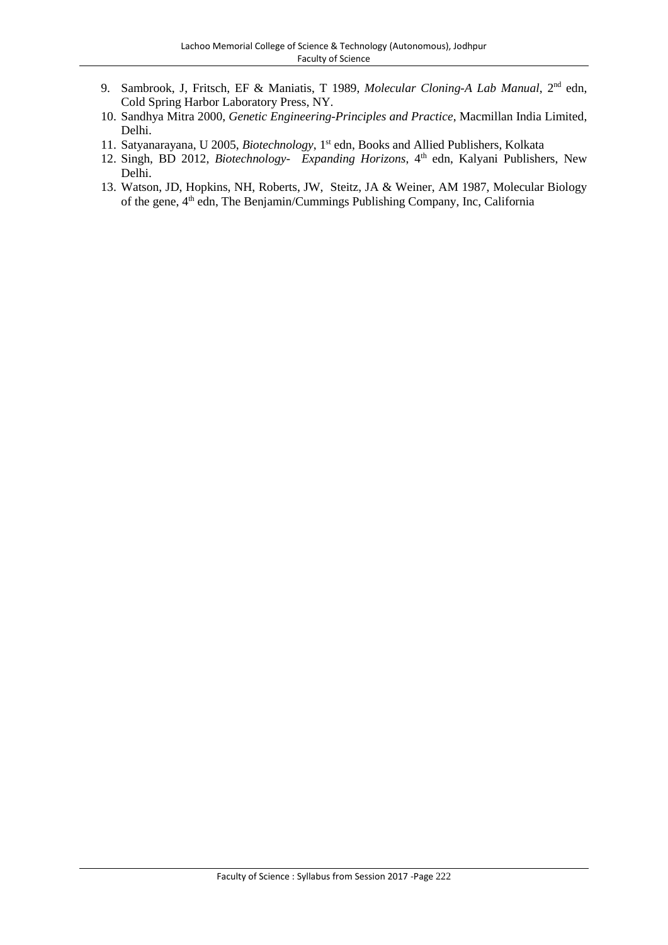- 9. Sambrook, J, Fritsch, EF & Maniatis, T 1989, *Molecular Cloning-A Lab Manual*, 2nd edn, Cold Spring Harbor Laboratory Press, NY.
- 10. Sandhya Mitra 2000, *Genetic Engineering-Principles and Practice*, Macmillan India Limited, Delhi.
- 11. Satyanarayana, U 2005, *Biotechnology*, 1st edn, Books and Allied Publishers, Kolkata
- 12. Singh, BD 2012, *Biotechnology- Expanding Horizons*, 4 th edn, Kalyani Publishers, New Delhi.
- 13. Watson, JD, Hopkins, NH, Roberts, JW, Steitz, JA & Weiner, AM 1987, Molecular Biology of the gene, 4<sup>th</sup> edn, The Benjamin/Cummings Publishing Company, Inc, California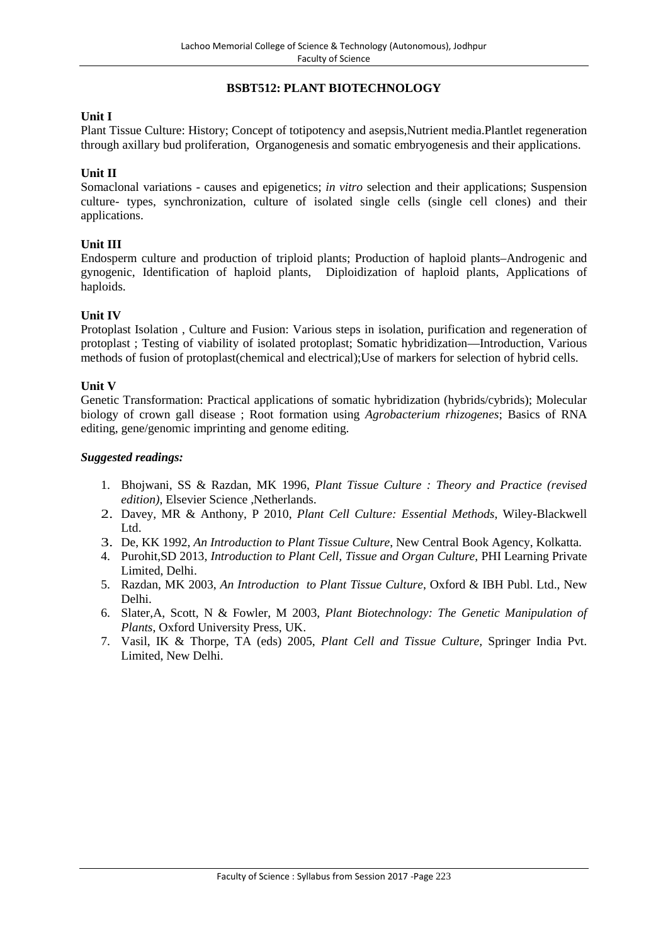# **BSBT512: PLANT BIOTECHNOLOGY**

## **Unit I**

Plant Tissue Culture: History; Concept of totipotency and asepsis,Nutrient media.Plantlet regeneration through axillary bud proliferation, Organogenesis and somatic embryogenesis and their applications.

# **Unit II**

Somaclonal variations - causes and epigenetics; *in vitro* selection and their applications; Suspension culture- types, synchronization, culture of isolated single cells (single cell clones) and their applications.

### **Unit III**

Endosperm culture and production of triploid plants; Production of haploid plants–Androgenic and gynogenic, Identification of haploid plants, Diploidization of haploid plants, Applications of haploids.

### **Unit IV**

Protoplast Isolation , Culture and Fusion: Various steps in isolation, purification and regeneration of protoplast ; Testing of viability of isolated protoplast; Somatic hybridization—Introduction, Various methods of fusion of protoplast(chemical and electrical);Use of markers for selection of hybrid cells.

### **Unit V**

Genetic Transformation: Practical applications of somatic hybridization (hybrids/cybrids); Molecular biology of crown gall disease ; Root formation using *Agrobacterium rhizogenes*; Basics of RNA editing, gene/genomic imprinting and genome editing.

- 1. Bhojwani, SS & Razdan, MK 1996, *Plant Tissue Culture : Theory and Practice (revised edition)*, Elsevier Science ,Netherlands.
- 2. Davey, MR & Anthony, P 2010, *Plant Cell Culture: Essential Methods*, Wiley-Blackwell Ltd.
- 3. De, KK 1992, *An Introduction to Plant Tissue Culture*, New Central Book Agency, Kolkatta.
- 4. Purohit,SD 2013, *Introduction to Plant Cell, Tissue and Organ Culture*, PHI Learning Private Limited, Delhi.
- 5. Razdan, MK 2003, *An Introduction to Plant Tissue Culture*, Oxford & IBH Publ. Ltd., New Delhi.
- 6. Slater,A, Scott, N & Fowler, M 2003, *Plant Biotechnology: The Genetic Manipulation of Plants*, Oxford University Press, UK.
- 7. Vasil, IK & Thorpe, TA (eds) 2005, *Plant Cell and Tissue Culture,* Springer India Pvt. Limited, New Delhi.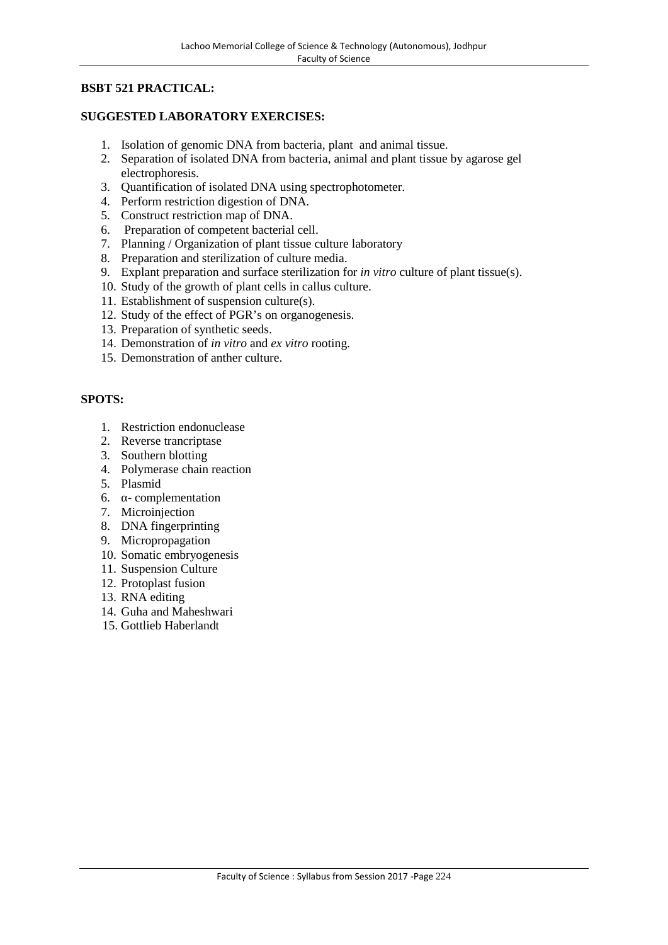# **BSBT 521 PRACTICAL:**

# **SUGGESTED LABORATORY EXERCISES:**

- 1. Isolation of genomic DNA from bacteria, plant and animal tissue.
- 2. Separation of isolated DNA from bacteria, animal and plant tissue by agarose gel electrophoresis.
- 3. Quantification of isolated DNA using spectrophotometer.
- 4. Perform restriction digestion of DNA.
- 5. Construct restriction map of DNA.
- 6. Preparation of competent bacterial cell.
- 7. Planning / Organization of plant tissue culture laboratory
- 8. Preparation and sterilization of culture media.
- 9. Explant preparation and surface sterilization for *in vitro* culture of plant tissue(s).
- 10. Study of the growth of plant cells in callus culture.
- 11. Establishment of suspension culture(s).
- 12. Study of the effect of PGR's on organogenesis.
- 13. Preparation of synthetic seeds.
- 14. Demonstration of *in vitro* and *ex vitro* rooting.
- 15. Demonstration of anther culture.

- 1. Restriction endonuclease
- 2. Reverse trancriptase
- 3. Southern blotting
- 4. Polymerase chain reaction
- 
- 5. Plasmid 6. - complementation
- 7. Microinjection
- 8. DNA fingerprinting
- 9. Micropropagation
- 10. Somatic embryogenesis
- 11. Suspension Culture
- 12. Protoplast fusion
- 13. RNA editing
- 14. Guha and Maheshwari
- 15. Gottlieb Haberlandt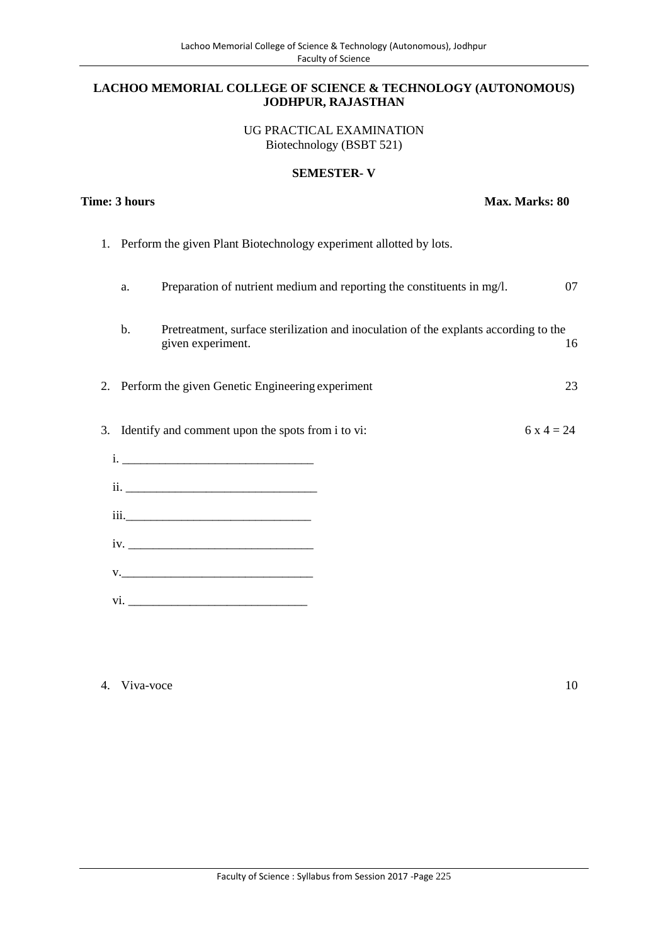#### **LACHOO MEMORIAL COLLEGE OF SCIENCE & TECHNOLOGY (AUTONOMOUS) JODHPUR, RAJASTHAN**

UG PRACTICAL EXAMINATION Biotechnology (BSBT 521)

### **SEMESTER- V**

**Time: 3 hours Max. Marks: 80** 

| 1. |    | Perform the given Plant Biotechnology experiment allotted by lots. |                                                                                      |            |
|----|----|--------------------------------------------------------------------|--------------------------------------------------------------------------------------|------------|
|    | a. |                                                                    | Preparation of nutrient medium and reporting the constituents in mg/l.               | 07         |
|    | b. | given experiment.                                                  | Pretreatment, surface sterilization and inoculation of the explants according to the | 16         |
| 2. |    | Perform the given Genetic Engineering experiment                   |                                                                                      | 23         |
|    |    | 3. Identify and comment upon the spots from i to vi:               |                                                                                      | $6x4 = 24$ |
|    |    |                                                                    |                                                                                      |            |
|    |    |                                                                    |                                                                                      |            |
|    |    |                                                                    |                                                                                      |            |
|    |    |                                                                    |                                                                                      |            |
|    |    |                                                                    |                                                                                      |            |
|    |    |                                                                    |                                                                                      |            |

# 4. Viva-voce 10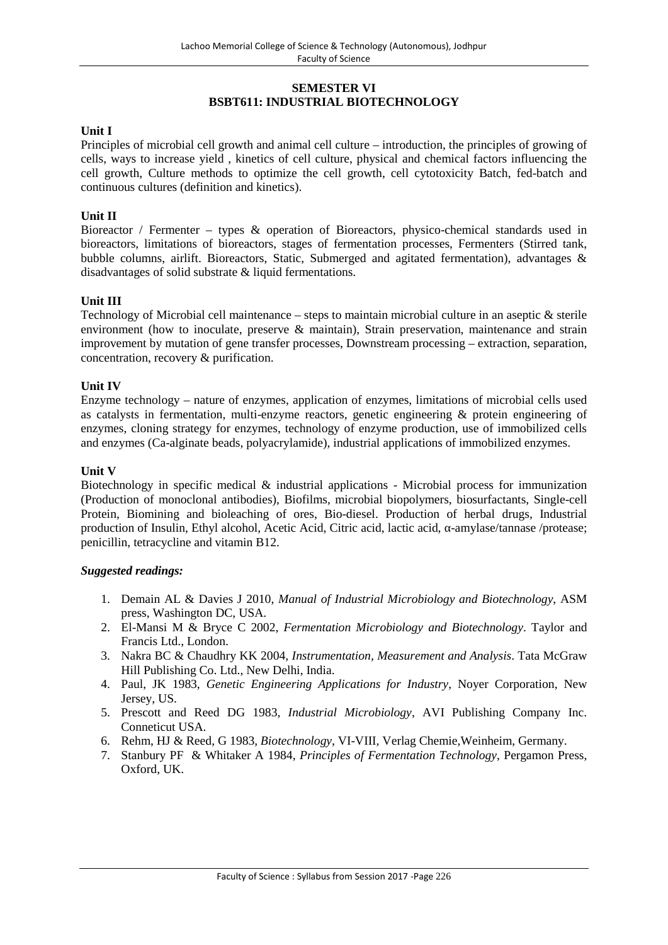# **SEMESTER VI BSBT611: INDUSTRIAL BIOTECHNOLOGY**

# **Unit I**

Principles of microbial cell growth and animal cell culture – introduction, the principles of growing of cells, ways to increase yield , kinetics of cell culture, physical and chemical factors influencing the cell growth, Culture methods to optimize the cell growth, cell cytotoxicity Batch, fed-batch and continuous cultures (definition and kinetics).

### **Unit II**

Bioreactor / Fermenter – types & operation of Bioreactors, physico-chemical standards used in bioreactors, limitations of bioreactors, stages of fermentation processes, Fermenters (Stirred tank, bubble columns, airlift. Bioreactors, Static, Submerged and agitated fermentation), advantages & disadvantages of solid substrate & liquid fermentations.

### **Unit III**

Technology of Microbial cell maintenance – steps to maintain microbial culture in an aseptic & sterile environment (how to inoculate, preserve & maintain), Strain preservation, maintenance and strain improvement by mutation of gene transfer processes, Downstream processing – extraction, separation, concentration, recovery & purification.

### **Unit IV**

Enzyme technology – nature of enzymes, application of enzymes, limitations of microbial cells used as catalysts in fermentation, multi-enzyme reactors, genetic engineering & protein engineering of enzymes, cloning strategy for enzymes, technology of enzyme production, use of immobilized cells and enzymes (Ca-alginate beads, polyacrylamide), industrial applications of immobilized enzymes.

#### **Unit V**

Biotechnology in specific medical  $\&$  industrial applications - Microbial process for immunization (Production of monoclonal antibodies), Biofilms, microbial biopolymers, biosurfactants, Single-cell Protein, Biomining and bioleaching of ores, Bio-diesel. Production of herbal drugs, Industrial production of Insulin, Ethyl alcohol, Acetic Acid, Citric acid, lactic acid,  $\alpha$ -amylase/tannase/protease; penicillin, tetracycline and vitamin B12.

- 1. Demain AL & Davies J 2010, *Manual of Industrial Microbiology and Biotechnology*, ASM press, Washington DC, USA.
- 2. El-Mansi M & Bryce C 2002, *Fermentation Microbiology and Biotechnology*. Taylor and Francis Ltd., London.
- 3. Nakra BC & Chaudhry KK 2004, *Instrumentation, Measurement and Analysis*. Tata McGraw Hill Publishing Co. Ltd., New Delhi, India.
- 4. Paul, JK 1983, *Genetic Engineering Applications for Industry*, Noyer Corporation, New Jersey, US.
- 5. Prescott and Reed DG 1983, *Industrial Microbiology*, AVI Publishing Company Inc. Conneticut USA.
- 6. Rehm, HJ & Reed, G 1983, *Biotechnology*, VI-VIII, Verlag Chemie,Weinheim, Germany.
- 7. Stanbury PF & Whitaker A 1984, *Principles of Fermentation Technology*, Pergamon Press, Oxford, UK.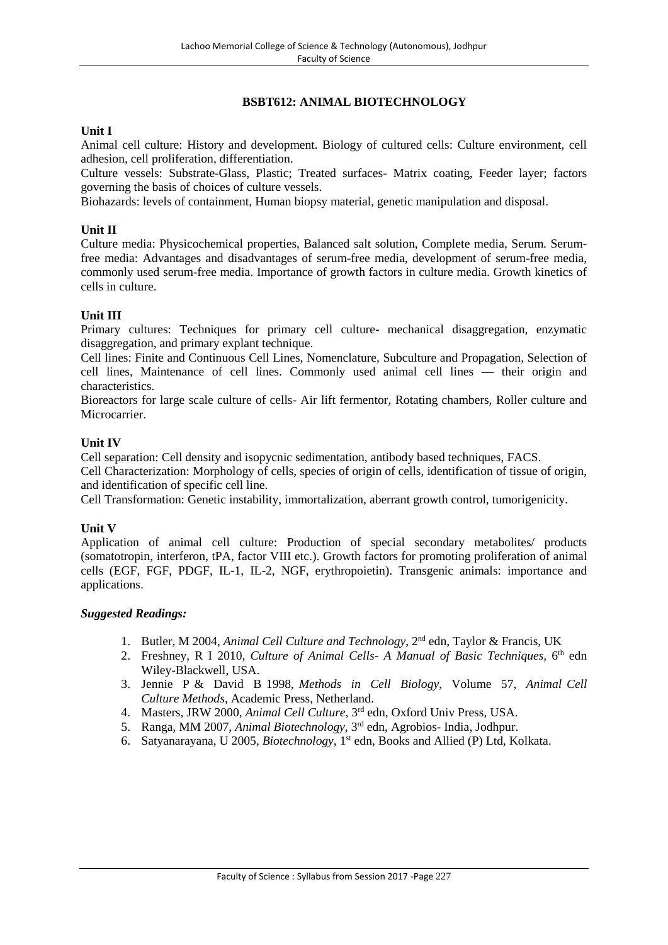# **BSBT612: ANIMAL BIOTECHNOLOGY**

### **Unit I**

Animal cell culture: History and development. Biology of cultured cells: Culture environment, cell adhesion, cell proliferation, differentiation.

Culture vessels: Substrate-Glass, Plastic; Treated surfaces- Matrix coating, Feeder layer; factors governing the basis of choices of culture vessels.

Biohazards: levels of containment, Human biopsy material, genetic manipulation and disposal.

### **Unit II**

Culture media: Physicochemical properties, Balanced salt solution, Complete media, Serum. Serumfree media: Advantages and disadvantages of serum-free media, development of serum-free media, commonly used serum-free media. Importance of growth factors in culture media. Growth kinetics of cells in culture.

### **Unit III**

Primary cultures: Techniques for primary cell culture- mechanical disaggregation, enzymatic disaggregation, and primary explant technique.

Cell lines: Finite and Continuous Cell Lines, Nomenclature, Subculture and Propagation, Selection of cell lines, Maintenance of cell lines. Commonly used animal cell lines — their origin and characteristics.

Bioreactors for large scale culture of cells- Air lift fermentor, Rotating chambers, Roller culture and Microcarrier.

### **Unit IV**

Cell separation: Cell density and isopycnic sedimentation, antibody based techniques, FACS.

Cell Characterization: Morphology of cells, species of origin of cells, identification of tissue of origin, and identification of specific cell line.

Cell Transformation: Genetic instability, immortalization, aberrant growth control, tumorigenicity.

#### **Unit V**

Application of animal cell culture: Production of special secondary metabolites/ products (somatotropin, interferon, tPA, factor VIII etc.). Growth factors for promoting proliferation of animal cells (EGF, FGF, PDGF, IL-1, IL-2, NGF, erythropoietin). Transgenic animals: importance and applications.

- 1. Butler, M 2004, *Animal Cell Culture and Technology*, 2nd edn, Taylor & Francis, UK
- 2. Freshney, R I 2010, *Culture of Animal Cells- A Manual of Basic Techniques,* 6 th edn Wiley-Blackwell, USA.
- 3. Jennie P & David B 1998, *Methods in Cell Biology*, Volume 57, *Animal Cell Culture Methods,* Academic Press, Netherland.
- 4. Masters, JRW 2000, *Animal Cell Culture*, 3rd edn, Oxford Univ Press, USA.
- 5. Ranga, MM 2007, *Animal Biotechnology*, 3rd edn, Agrobios- India, Jodhpur.
- 6. Satyanarayana, U 2005, *Biotechnology,* 1 st edn, Books and Allied (P) Ltd, Kolkata.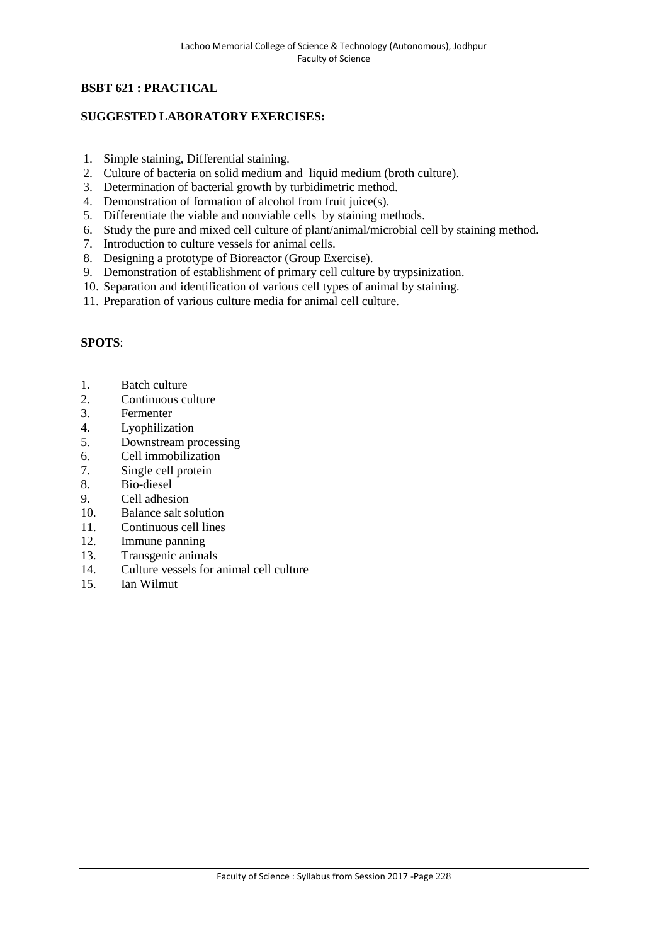# **BSBT 621 : PRACTICAL**

# **SUGGESTED LABORATORY EXERCISES:**

- 1. Simple staining, Differential staining.
- 2. Culture of bacteria on solid medium and liquid medium (broth culture).
- 3. Determination of bacterial growth by turbidimetric method.
- 4. Demonstration of formation of alcohol from fruit juice(s).
- 5. Differentiate the viable and nonviable cells by staining methods.
- 6. Study the pure and mixed cell culture of plant/animal/microbial cell by staining method.
- 7. Introduction to culture vessels for animal cells.
- 8. Designing a prototype of Bioreactor (Group Exercise).
- 9. Demonstration of establishment of primary cell culture by trypsinization.
- 10. Separation and identification of various cell types of animal by staining.
- 11. Preparation of various culture media for animal cell culture.

- 1. Batch culture
- 2. Continuous culture
- 3. Fermenter
- 4. Lyophilization
- 5. Downstream processing
- 6. Cell immobilization
- 7. Single cell protein
- 8. Bio-diesel
- 9. Cell adhesion
- 10. Balance salt solution
- 11. Continuous cell lines
- 12. Immune panning
- 13. Transgenic animals
- 14. Culture vessels for animal cell culture
- 15. Ian Wilmut